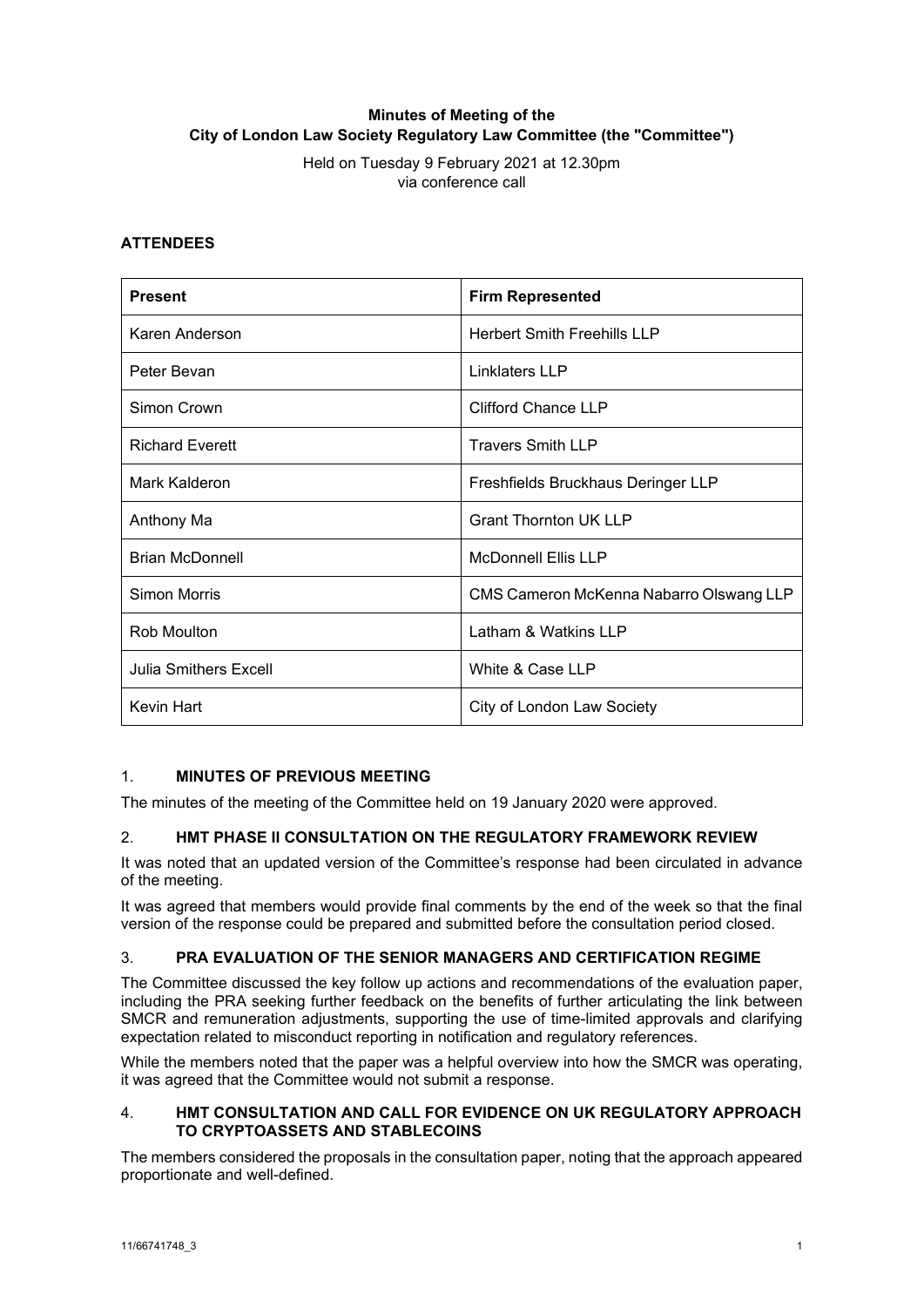# **Minutes of Meeting of the City of London Law Society Regulatory Law Committee (the "Committee")**

Held on Tuesday 9 February 2021 at 12.30pm via conference call

## **ATTENDEES**

| <b>Present</b>         | <b>Firm Represented</b>                 |
|------------------------|-----------------------------------------|
| Karen Anderson         | <b>Herbert Smith Freehills LLP</b>      |
| Peter Bevan            | Linklaters LLP                          |
| Simon Crown            | <b>Clifford Chance LLP</b>              |
| <b>Richard Everett</b> | <b>Travers Smith LLP</b>                |
| Mark Kalderon          | Freshfields Bruckhaus Deringer LLP      |
| Anthony Ma             | <b>Grant Thornton UK LLP</b>            |
| <b>Brian McDonnell</b> | <b>McDonnell Ellis LLP</b>              |
| <b>Simon Morris</b>    | CMS Cameron McKenna Nabarro Olswang LLP |
| Rob Moulton            | Latham & Watkins LLP                    |
| Julia Smithers Excell  | White & Case LLP                        |
| Kevin Hart             | City of London Law Society              |

## 1. **MINUTES OF PREVIOUS MEETING**

The minutes of the meeting of the Committee held on 19 January 2020 were approved.

## 2. **HMT PHASE II CONSULTATION ON THE REGULATORY FRAMEWORK REVIEW**

It was noted that an updated version of the Committee's response had been circulated in advance of the meeting.

It was agreed that members would provide final comments by the end of the week so that the final version of the response could be prepared and submitted before the consultation period closed.

## 3. **PRA EVALUATION OF THE SENIOR MANAGERS AND CERTIFICATION REGIME**

The Committee discussed the key follow up actions and recommendations of the evaluation paper, including the PRA seeking further feedback on the benefits of further articulating the link between SMCR and remuneration adjustments, supporting the use of time-limited approvals and clarifying expectation related to misconduct reporting in notification and regulatory references.

While the members noted that the paper was a helpful overview into how the SMCR was operating, it was agreed that the Committee would not submit a response.

### 4. **HMT CONSULTATION AND CALL FOR EVIDENCE ON UK REGULATORY APPROACH TO CRYPTOASSETS AND STABLECOINS**

The members considered the proposals in the consultation paper, noting that the approach appeared proportionate and well-defined.